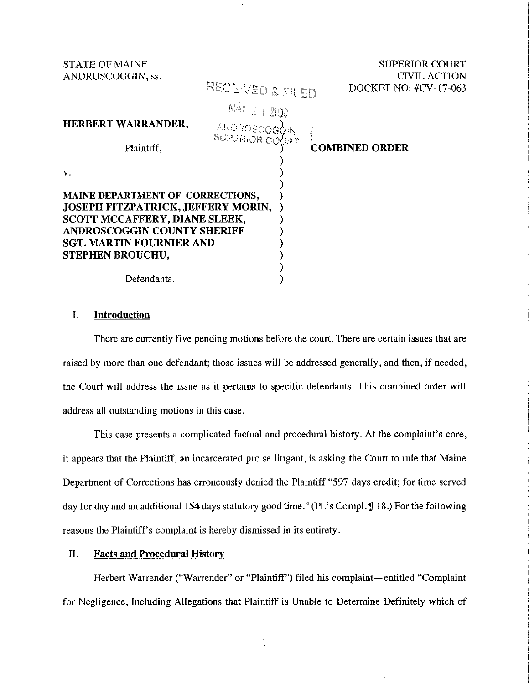| <b>STATE OF MAINE</b><br>ANDROSCOGGIN, ss.                                                                     |                  | <b>SUPERIOR COURT</b><br><b>CIVIL ACTION</b> |
|----------------------------------------------------------------------------------------------------------------|------------------|----------------------------------------------|
|                                                                                                                | RECEIVED & FILED | DOCKET NO: #CV-17-063                        |
|                                                                                                                | MAY 2 1 2010     |                                              |
| HERBERT WARRANDER,                                                                                             | ANDROSCOGGIN     |                                              |
| Plaintiff,                                                                                                     | SUPERIOR COURT   | <b>COMBINED ORDER</b>                        |
| V.                                                                                                             |                  |                                              |
| MAINE DEPARTMENT OF CORRECTIONS,<br>JOSEPH FITZPATRICK, JEFFERY MORIN,<br><b>SCOTT MCCAFFERY, DIANE SLEEK,</b> |                  |                                              |
| <b>ANDROSCOGGIN COUNTY SHERIFF</b>                                                                             |                  |                                              |
| <b>SGT. MARTIN FOURNIER AND</b>                                                                                |                  |                                              |
| <b>STEPHEN BROUCHU,</b>                                                                                        |                  |                                              |
|                                                                                                                |                  |                                              |
| Defendants.                                                                                                    |                  |                                              |

# I. **Introduction**

There are currently five pending motions before the court. There are certain issues that are raised by more than one defendant; those issues will be addressed generally, and then, if needed, the Court will address the issue as it pertains to specific defendants. This combined order will address all outstanding motions in this case.

This case presents a complicated factual and procedural history. At the complaint's core, it appears that the Plaintiff, an incarcerated pro se litigant, is asking the Court to rule that Maine Department of Corrections has erroneously denied the Plaintiff "597 days credit; for time served day for day and an additional 154 days statutory good time." (Pl.'s Compl. **J** 18.) For the following reasons the Plaintiff's complaint is hereby dismissed in its entirety.

# II. **Facts and Procedural History**

Herbert Warrender ("Warrender" or "Plaintiff") filed his complaint—entitled "Complaint for Negligence, Including Allegations that Plaintiff is Unable to Determine Definitely which of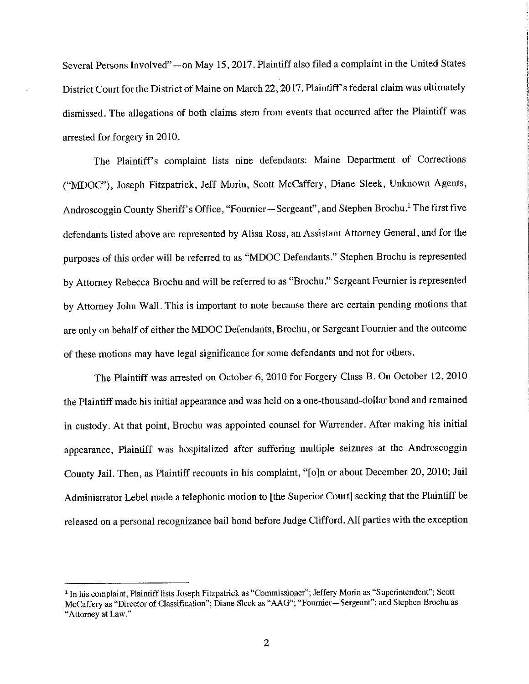Several Persons Involved" -- on May 15, 2017. Plaintiff also filed a complaint in the United States District Court for the District of Maine on March 22, 2017. Plaintiff's federal claim was ultimately dismissed. The allegations of both claims stem from events that occurred after the Plaintiff was arrested for forgery in 2010.

The Plaintiff's complaint lists nine defendants: Maine Department of Corrections ("MDOC"), Joseph Fitzpatrick, Jeff Morin, Scott McCaffery, Diane Sleek, Unknown Agents, Androscoggin County Sheriff's Office, "Fournier-Sergeant", and Stephen Brochu.<sup>1</sup> The first five defendants listed above are represented by Alisa Ross, an Assistant Attorney General, and for the purposes of this order will be referred to as "MDOC Defendants." Stephen Brochu is represented by Attorney Rebecca Brochu and will be referred to as "Brochu." Sergeant Fournier is represented by Attorney John Wall. This is important to note because there are certain pending motions that are only on behalf of either the MDOC Defendants, Brochu, or Sergeant Fournier and the outcome of these motions may have legal significance for some defendants and not for others.

The Plaintiff was arrested on October 6, 2010 for Forgery Class B. On October 12, 2010 the Plaintiff made his initial appearance and was held on a one-thousand-dollar bond and remained in custody. At that point, Brochu was appointed counsel for Warrender. After making his initial appearance, Plaintiff was hospitalized after suffering multiple seizures at the Androscoggin County Jail. Then, as Plaintiff recounts in his complaint, "[o]n or about December 20, 2010; Jail Administrator Lebel made a telephonic motion to [the Superior Court] seeking that the Plaintiff be released on a personal recognizance bail bond before Judge Clifford. All parties with the exception

<sup>&</sup>lt;sup>1</sup> In his complaint, Plaintiff lists Joseph Fitzpatrick as "Commissioner"; Jeffery Morin as "Superintendent"; Scott McCaffery as "Director of Classification"; Diane Sleek as "AAG"; "Fournier-Sergeant"; and Stephen Brochu as **"Attorney at Law."**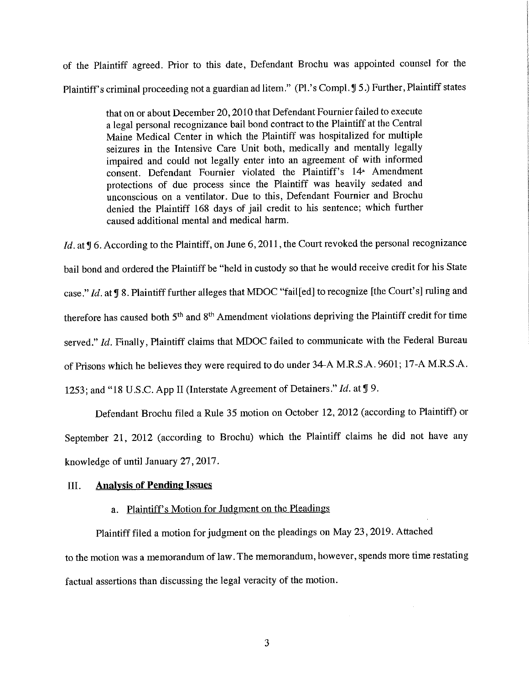of the Plaintiff agreed. Prior to this date, Defendant Brochu was appointed counsel for the Plaintiff's criminal proceeding not a guardian ad litem." (Pl.'s Compl. **J** 5.) Further, Plaintiff states

> that on or about December 20, 2010 that Defendant Fournier failed to execute a legal personal recognizance bail bond contract to the Plaintiff at the Central Maine Medical Center in which the Plaintiff was hospitalized for multiple seizures in the Intensive Care Unit both, medically and mentally legally impaired and could not legally enter into an agreement of with informed consent. Defendant Fournier violated the Plaintiff's 14• Amendment protections of due process since the Plaintiff was heavily sedated and unconscious on a ventilator. Due to this, Defendant Fournier and Brochu denied the Plaintiff 168 days of jail credit to his sentence; which further caused additional mental and medical harm.

*Id.* at **J** 6. According to the Plaintiff, on June 6, 2011, the Court revoked the personal recognizance bail bond and ordered the Plaintiff be "held in custody so that he would receive credit for his State case." *Id.* at **J** 8. Plaintiff further alleges that MDOC "fail[ed] to recognize [the Court's] ruling and therefore has caused both 5<sup>th</sup> and 8<sup>th</sup> Amendment violations depriving the Plaintiff credit for time served." *Id.* Finally, Plaintiff claims that MDOC failed to communicate with the Federal Bureau of Prisons which he believes they were required to do under 34-A M.R.S.A. 9601; 17-A M.R.S.A. 1253; and "18 U.S.C. App II (Interstate Agreement of Detainers." *Id.* at **lJ** 9.

Defendant Brochu filed a Rule 35 motion on October 12, 2012 (according to Plaintiff) or September 21, 2012 (according to Brochu) which the Plaintiff claims he did not have any knowledge of until January 27, 2017.

### III. **Analysis of Pending Issues**

# a. Plaintiff's Motion for Judgment on the Pleadings

Plaintiff filed a motion for judgment on the pleadings on May 23, 2019. Attached to the motion was a memorandum of law. The memorandum, however, spends more time restating factual assertions than discussing the legal veracity of the motion.

3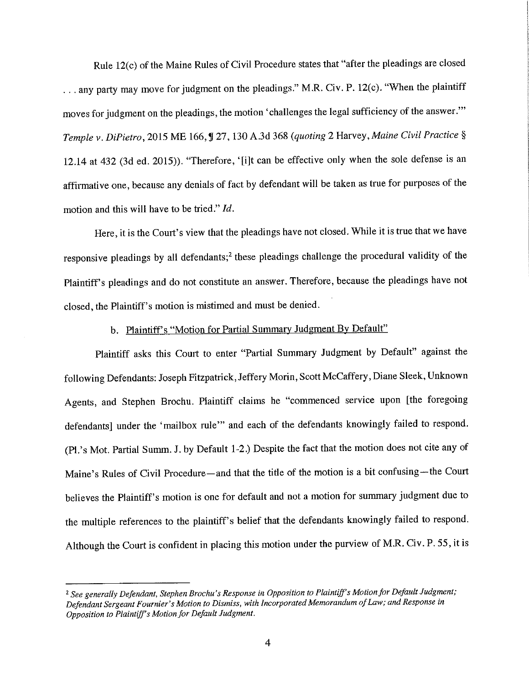Rule 12(c) of the Maine Rules of Civil Procedure states that "after the pleadings are closed ... any party may move for judgment on the pleadings." M.R. Civ. P. 12(c). "When the plaintiff moves for judgment on the pleadings, the motion' challenges the legal sufficiency of the answer."' *Temple v. DiPietro,* 2015 ME 166, ! 27, 130 A.3d 368 *(quoting* 2 *Harvey,Maine Civil Practice§*  12.14 at 432 (3d ed. 2015)). "Therefore, '[i]t can be effective only when the sole defense is an affirmative one, because any denials of fact by defendant will be taken as true for purposes of the motion and this will have to be tried." *Id.* 

Here, it is the Court's view that the pleadings have not closed. While it is true that we have responsive pleadings by all defendants;<sup>2</sup> these pleadings challenge the procedural validity of the Plaintiff's pleadings and do not constitute an answer. Therefore, because the pleadings have not closed, the Plaintiff's motion is mistimed and must be denied.

# b. Plaintiff's "Motion for Partial Summary Judgment By Default"

Plaintiff asks this Court to enter "Partial Summary Judgment by Default" against the following Defendants: Joseph Fitzpatrick, Jeffery Morin, Scott McCaffery, Diane Sleek, Unknown Agents, and Stephen Brochu. Plaintiff claims he "commenced service upon [the foregoing defendants] under the 'mailbox rule"' and each of the defendants knowingly failed to respond. (Pl.'s Mot. Partial Summ. J. by Default 1-2.) Despite the fact that the motion does not cite any of Maine's Rules of Civil Procedure—and that the title of the motion is a bit confusing—the Court believes the Plaintiff's motion is one for default and not a motion for summary judgment due to the multiple references to the plaintiff's belief that the defendants knowingly failed to respond. Although the Court is confident in placing this motion under the purview of M.R. Civ. P. 55, it is

<sup>2</sup> *See generally Defendant, Stephen Brochu's Response in Opposition to Plaintiff's Motion for Default Judgment;* Defendant Sergeant Fournier's Motion to Dismiss, with Incorporated Memorandum of Law; and Response in *Opposition to Plaintiff's Motion for Default Judgment.*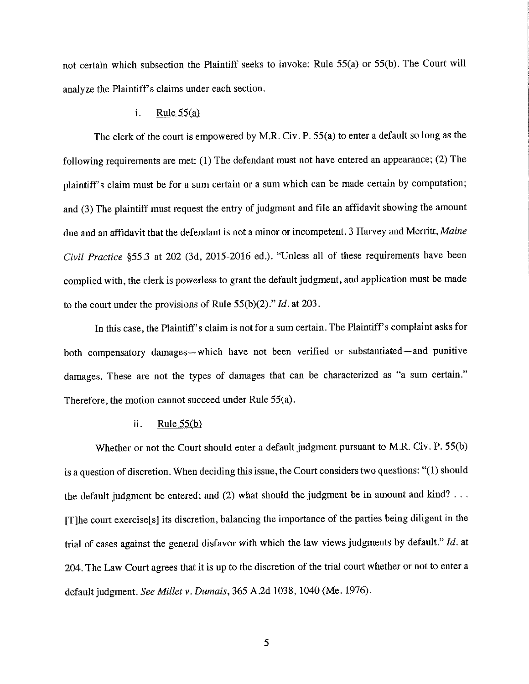not certain which subsection the Plaintiff seeks to invoke: Rule 55(a) or 55(b). The Court will analyze the Plaintiff's claims under each section.

#### i. Rule  $55(a)$

The clerk of the court is empowered by M.R. Civ. P. 55(a) to enter a default so long as the following requirements are met: (1) The defendant must not have entered an appearance; (2) The plaintiff's claim must be for a sum certain or a sum which can be made certain by computation; and (3) The plaintiff must request the entry of judgment and file an affidavit showing the amount due and an affidavit that the defendant is not a minor or incompetent. 3 Harvey and Merritt, *Maine Civil Practice* §55.3 at 202 (3d, 2015-2016 ed.). "Unless all of these requirements have been complied with, the clerk is powerless to grant the default judgment, and application must be made to the court under the provisions of Rule 55(b)(2)." *Id.* at 203.

In this case, the Plaintiff's claim is not for a sum certain. The Plaintiff's complaint asks for both compensatory damages-which have not been verified or substantiated-and punitive damages. These are not the types of damages that can be characterized as "a sum certain." Therefore, the motion cannot succeed under Rule 55(a).

# ii. Rule  $55(b)$

Whether or not the Court should enter a default judgment pursuant to M.R. Civ. P. 55(b) is a question of discretion. When deciding this issue, the Court considers two questions: "(l) should the default judgment be entered; and  $(2)$  what should the judgment be in amount and kind? ... [T]he court exercise[s] its discretion, balancing the importance of the parties being diligent in the trial of cases against the general disfavor with which the law views judgments by default." *Id.* at 204. The Law Court agrees that it is up to the discretion of the trial court whether or not to enter a default judgment. *See Millet v. Dumais,* 365 A.2d 1038, 1040 (Me. 1976).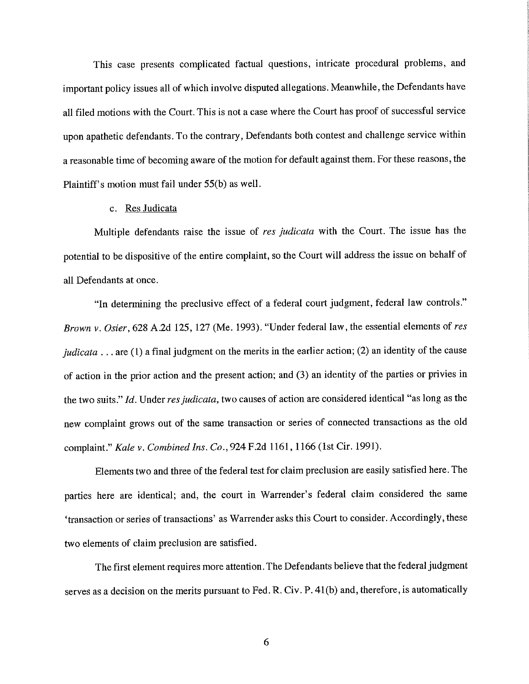This case presents complicated factual questions, intricate procedural problems, and important policy issues all of which involve disputed allegations. Meanwhile, the Defendants have all filed motions with the Court. This is not a case where the Court has proof of successful service upon apathetic defendants. To the contrary, Defendants both contest and challenge service within a reasonable time of becoming aware of the motion for default against them. For these reasons, the Plaintiff's motion must fail under SS(b) as well.

#### c. Res Judicata

Multiple defendants raise the issue of *res judicata* with the Court. The issue has the potential to be dispositive of the entire complaint, so the Court will address the issue on behalf of all Defendants at once.

"In determining the preclusive effect of a federal court judgment, federal law controls." *Brown v. Osier,* 628 A.2d 125, 127 (Me. 1993). "Under federal law, the essential elements of *res judicata* ... are (1) a final judgment on the merits in the earlier action; (2) an identity of the cause of action in the prior action and the present action; and (3) an identity of the parties or privies in the two suits." *Id.* Under *res judicata,* two causes of action are considered identical "as long as the new complaint grows out of the same transaction or series of connected transactions as the old complaint." *Kale v. Combined Ins. Co.,* 924 F.2d 1161, 1166 (1st Cir. 1991).

Elements two and three of the federal test for claim preclusion are easily satisfied here. The parties here are identical; and, the court in Warrender's federal claim considered the same 'transaction or series of transactions' as Warrender asks this Court to consider. Accordingly, these two elements of claim preclusion are satisfied.

The first element requires more attention. The Defendants believe that the federal judgment serves as a decision on the merits pursuant to Fed. R. Civ. P. 4l(b) and, therefore, is automatically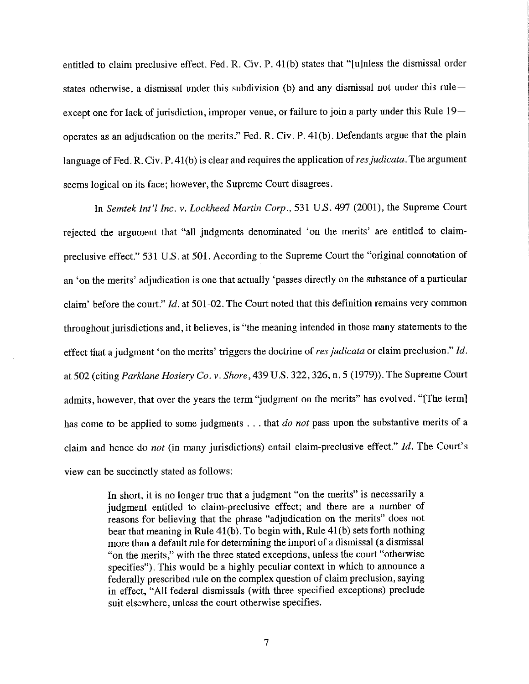entitled to claim preclusive effect. Fed. R. Civ. P. 4l(b) states that "[u]nless the dismissal order states otherwise, a dismissal under this subdivision (b) and any dismissal not under this ruleexcept one for lack of jurisdiction, improper venue, or failure to join a party under this Rule 19operates as an adjudication on the merits." Fed. R. Civ. P. 4l(b). Defendants argue that the plain language of Fed. R. Civ. P. 4l(b) is clear and requires the application of *resjudicata.* The argument seems logical on its face; however, the Supreme Court disagrees.

In *Semtek Int'/ Inc. v. Lockheed Martin Corp.,* 531 U.S. 497 (2001), the Supreme Court rejected the argument that "all judgments denominated 'on the merits' are entitled to claimpreclusive effect." 531 U.S. at 501. According to the Supreme Court the "original connotation of an 'on the merits' adjudication is one that actually 'passes directly on the substance of a particular claim' before the court." *Id.* at 501-02. The Court noted that this definition remains very common throughout jurisdictions and, it believes, is "the meaning intended in those many statements to the effect that a judgment 'on the merits' triggers the doctrine of *res judicata* or claim preclusion." *Id.*  at 502 (citing *Parklane Hosiery Co. v. Shore,439* U.S. 322,326, n. 5 (1979)). The Supreme Court admits, however, that over the years the term "judgment on the merits" has evolved. "[The term] has come to be applied to some judgments ... that *do not* pass upon the substantive merits of a claim and hence do *not* (in many jurisdictions) entail claim-preclusive effect." *Id.* The Court's view can be succinctly stated as follows:

> In short, it is no longer true that a judgment "on the merits" is necessarily a judgment entitled to claim-preclusive effect; and there are a number of reasons for believing that the phrase "adjudication on the merits" does not bear that meaning in Rule 4l(b). To begin with, Rule 4l(b) sets forth nothing more than a default rule for determining the import of a dismissal (a dismissal "on the merits," with the three stated exceptions, unless the court "otherwise specifies"). This would be a highly peculiar context in which to announce a federally prescribed rule on the complex question of claim preclusion, saying in effect, "All federal dismissals (with three specified exceptions) preclude suit elsewhere, unless the court otherwise specifies.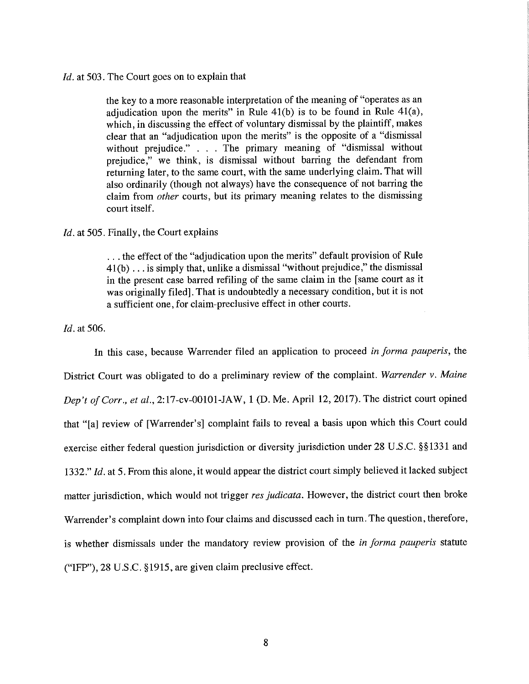#### *Id.* at 503. The Court goes on to explain that

the key to a more reasonable interpretation of the meaning of "operates as an adjudication upon the merits" in Rule 4l(b) is to be found in Rule 4l(a), which, in discussing the effect of voluntary dismissal by the plaintiff, makes clear that an "adjudication upon the merits" is the opposite of a "dismissal without prejudice." . . . The primary meaning of "dismissal without prejudice," we think, is dismissal without barring the defendant from returning later, to the same court, with the same underlying claim. That will also ordinarily (though not always) have the consequence of not barring the claim from *other* courts, but its primary meaning relates to the dismissing court itself.

#### *Id.* at 505. Finally, the Court explains

... the effect of the "adjudication upon the merits" default provision of Rule 41(b) ... is simply that, unlike a dismissal "without prejudice," the dismissal in the present case barred refiling of the same claim in the [ same court as it was originally filed]. That is undoubtedly a necessary condition, but it is not a sufficient one, for claim-preclusive effect in other courts.

## *Id.* at 506.

In this case, because Warrender filed an application to proceed *in forma pauperis,* the District Court was obligated to do a preliminary review of the complaint. *Warrender v. Maine Dep't of Corr., et al.,* 2:17-cv-00101-JAW, 1 (D. Me. April 12, 2017). The district court opined that "[a] review of [Warrender's] complaint fails to reveal a basis upon which this Court could exercise either federal question jurisdiction or diversity jurisdiction under 28 U.S.C. §§1331 and 1332." *Id.* at 5. From this alone, it would appear the district court simply believed it lacked subject matter jurisdiction, which would not trigger *res judicata.* However, the district court then broke Warrender's complaint down into four claims and discussed each in turn. The question, therefore, is whether dismissals under the mandatory review provision of the *in forma pauperis* statute ("IFP"), 28 U.S.C. §1915, are given claim preclusive effect.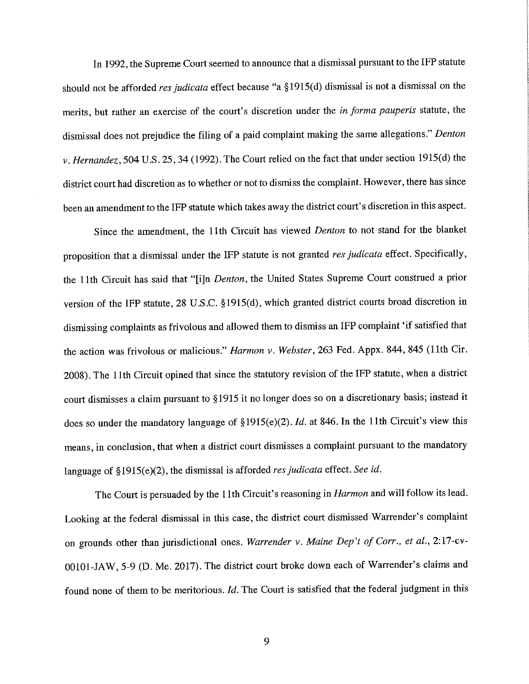In 1992, the Supreme Court seemed to announce that a dismissal pursuant to the IFP statute should not be afforded *res judicata* effect because "a §1915(d) dismissal is not a dismissal on the merits, but rather an exercise of the court's discretion under the *in forma pauperis* statute, the dismissal does not prejudice the filing of a paid complaint making the same allegations." *Denton v. Hernandez,* 504 U.S. 25, 34 (1992). The Court relied on the fact that under section 1915(d) the district court had discretion as to whether or not to dismiss the complaint. However, there has since been an amendment to the IFP statute which takes away the district court's discretion in this aspect.

Since the amendment, the 11th Circuit has viewed *Denton* to not stand for the blanket proposition that a dismissal under the IFP statute is not granted *res judicata* effect. Specifically, the 11th Circuit has said that "[i]n *Denton,* the United States Supreme Court construed a prior version of the IFP statute, 28 U.S.C. §1915(d), which granted district courts broad discretion in dismissing complaints as frivolous and allowed them to dismiss an IFP complaint 'if satisfied that the action was frivolous or malicious." *Harmon v. Webster,* 263 Fed. Appx. 844, 845 (11th Cir. 2008). The 11th Circuit opined that since the statutory revision of the IFP statute, when a district court dismisses a claim pursuant to §1915 it no longer does so on a discretionary basis; instead it does so under the mandatory language of §1915(e)(2). Id. at 846. In the 11th Circuit's view this means, in conclusion, that when a district court dismisses a complaint pursuant to the mandatory language of §1915(e)(2), the dismissal is afforded *res judicata* effect. *See id.* 

The Court is persuaded by the 11th Circuit's reasoning in *Harmon* and will follow its lead. Looking at the federal dismissal in this case, the district court dismissed Warrender's complaint on grounds other than jurisdictional ones. *Warrender v. Maine Dep't of Corr., et al.,* 2:17-cv-00101-JAW, 5-9 (D. Me. 2017). The district court broke down each of Warrender's claims and found none of them to be meritorious. *Id.* The Court is satisfied that the federal judgment in this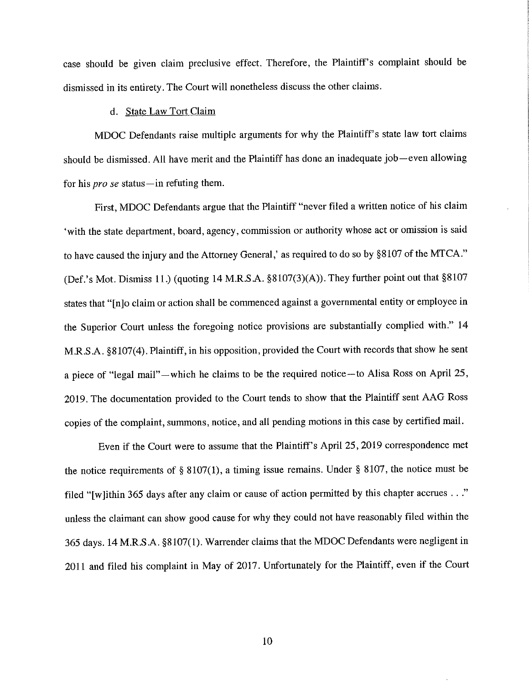case should be given claim preclusive effect. Therefore, the Plaintiff's complaint should be dismissed in its entirety. The Court will nonetheless discuss the other claims.

# d. State Law Tort Claim

MDOC Defendants raise multiple arguments for why the Plaintiff's state law tort claims should be dismissed. All have merit and the Plaintiff has done an inadequate job—even allowing for his *pro se* status—in refuting them.

First, MDOC Defendants argue that the Plaintiff "never filed a written notice of his claim 'with the state department, board, agency, commission or authority whose act or omission is said to have caused the injury and the Attorney General,' as required to do so by §8107 of the MTCA." (Def.'s Mot. Dismiss 11.) (quoting 14 M.R.S.A. §8107(3)(A)). They further point out that §8107 states that"[nJo claim or action shall be commenced against a governmental entity or employee in the Superior Court unless the foregoing notice provisions are substantially complied with." 14 M.R.S.A. §8107(4). Plaintiff, in his opposition, provided the Court with records that show he sent a piece of "legal mail" - which he claims to be the required notice-to Alisa Ross on April 25, 2019. The documentation provided to the Court tends to show that the Plaintiff sent AAG Ross copies of the complaint, summons, notice, and all pending motions in this case by certified mail.

Even if the Court were to assume that the Plaintiff's April 25, 2019 correspondence met the notice requirements of  $\S 8107(1)$ , a timing issue remains. Under  $\S 8107$ , the notice must be filed "[w ]ithin 365 days after any claim or cause of action permitted by this chapter accrues ..." unless the claimant can show good cause for why they could not have reasonably filed within the 365 days. 14 M.R.S.A. §8107(1). Warrender claims that the MDOC Defendants were negligent in 2011 and filed his complaint in May of 2017. Unfortunately for the Plaintiff, even if the Court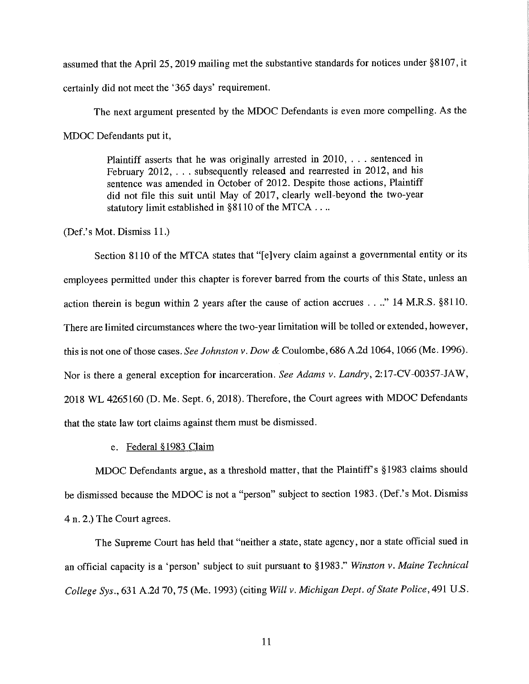assumed that the April 25, 2019 mailing met the substantive standards for notices under §8107, it certainly did not meet the '365 days' requirement.

The next argument presented by the MDOC Defendants is even more compelling. As the MDOC Defendants put it,

> Plaintiff asserts that he was originally arrested in 2010, . . . sentenced in February 2012, ... subsequently released and rearrested in 2012, and his sentence was amended in October of 2012. Despite those actions, Plaintiff did not file this suit until May of 2017, clearly well-beyond the two-year statutory limit established in §8110 of the MTCA ....

(Def.' s Mot. Dismiss 11.)

Section 8110 of the MTCA states that "[e]very claim against a governmental entity or its employees permitted under this chapter is forever barred from the courts of this State, unless an action therein is begun within 2 years after the cause of action accrues ...." 14 M.R.S. §8110. There are limited circumstances where the two-year limitation will be tolled or extended, however, this is not one of those cases. *See Johnston v. Dow &* Coulombe, 686 A.2d 1064, 1066 (Me. 1996). Nor is there a general exception for incarceration. *See Adams v. Landry,* 2: 17-CV-00357-JA W, 2018 WL 4265160 (D. Me. Sept. 6, 2018). Therefore, the Court agrees with MDOC Defendants that the state law tort claims against them must be dismissed.

# e. Federal §1983 Claim

MDOC Defendants argue, as a threshold matter, that the Plaintiff's §1983 claims should be dismissed because the MDOC is not a "person" subject to section 1983. (Def.'s Mot. Dismiss 4 n. 2.) The Court agrees.

The Supreme Court has held that "neither a state, state agency, nor a state official sued in an official capacity is a 'person' subject to suit pursuant to §1983." *Winston v. Maine Technical College Sys.,* 631 A.2d 70, 75 (Me. 1993) (citing *Will v. Michigan Dept. of State Police*, 491 U.S.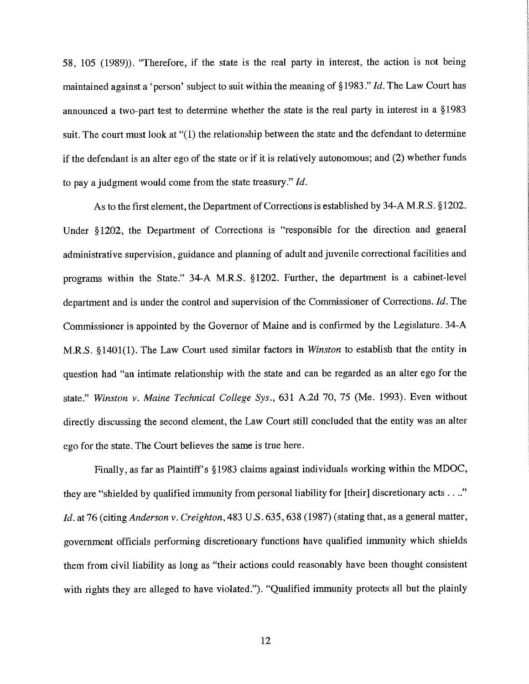58, 105 (1989)). "Therefore, if the state is the real party in interest, the action is not being maintained against a 'person' snbject to suit within the meaning of§ 1983." *Id.* The Law Court has announced a two-part test to determine whether the state is the real party in interest in a § 1983 suit. The court must look at "(1) the relationship between the state and the defendant to determine if the defendant is an alter ego of the state or if it is relatively autonomous; and (2) whether funds to pay a judgment would come from the state treasury." *Id.* 

As to the first element, the Department of Corrections is established by 34-A M.R.S. §1202. Under §1202, the Department of Corrections is "responsible for the direction and general administrative supervision, guidance and planning of adult and juvenile correctional facilities and programs within the State." 34-A M.R.S. §1202. Further, the department is a cabinet-level department and is under the control and supervision of the Commissioner of Corrections. *Id.* The Commissioner is appointed by the Governor of Maine and is confirmed by the Legislature. 34-A M.R.S. §1401(1). The Law Court used similar factors in *Winston* to establish that the entity in question had "an intimate relationship with the state and can be regarded as an alter ego for the state." *Winston v. Maine Technical College Sys.,* 631 A.2d 70, 75 (Me. 1993). Even without directly discussing the second element, the Law Court still concluded that the entity was an alter ego for the state. The Court believes the same is true here.

Finally, as far as Plaintiff's §1983 claims against individuals working within the MDOC, they are "shielded by qualified immunity from personal liability for [their] discretionary acts  $\dots$ " *Id.* at 76 (citing *Anderson v. Creighton*, 483 U.S. 635, 638 (1987) (stating that, as a general matter, government officials performing discretionary functions have qualified immunity which shields them from civil liability as long as "their actions could reasonably have been thought consistent with rights they are alleged to have violated."). "Qualified immunity protects all but the plainly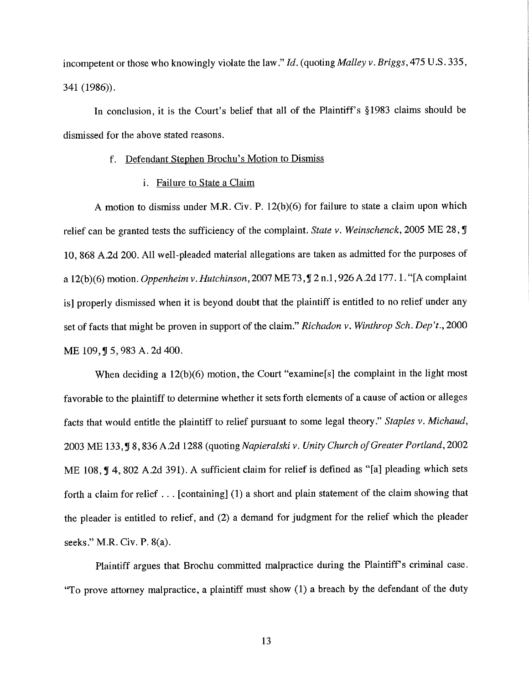incompetent or those who knowingly violate the law." *Id.* (quoting *Malley v. Briggs,* 475 U.S. 335, 341 (1986)).

In conclusion, it is the Court's belief that all of the Plaintiff's §1983 claims should be dismissed for the above stated reasons.

### f. Defendant Stephen Brochu's Motion to Dismiss

i. Failure to State a Claim

A motion to dismiss under **M.R.** Civ. P. 12(b)(6) for failure to state a claim upon which relief can be granted tests the sufficiency of the complaint. *State v. Weinschenck,* 2005 ME 28,, 10, 868 A.2d 200. All well-pleaded material allegations are taken as admitted for the purposes of a 12(b)(6) motion. *Oppenheim v. Hutchinson*, 2007 ME 73, 1 2 n.1, 926 A.2d 177. 1. "[A complaint is] properly dismissed when it is beyond doubt that the plaintiff is entitled to no relief under any set of facts that might be proven in support of the claim." *Richadon v. Winthrop Sch. Dep't.,* 2000 ME 109, J 5, 983 A. 2d 400.

When deciding a 12(b)(6) motion, the Court "examine<sup>[s]</sup> the complaint in the light most favorable to the plaintiff to determine whether it sets forth elements of a cause of action or alleges facts that would entitle the plaintiff to relief pursuant to some legal theory." *Staples v. Michaud,*  2003 ME 133,, 8,836 A.2d 1288 (quoting *Napieralski v. Unity Church ofGreater Portland,* 2002 ME  $108$ ,  $\P$  4, 802 A.2d 391). A sufficient claim for relief is defined as "[a] pleading which sets forth a claim for relief ... [containing] (1) a short and plain statement of the claim showing that the pleader is entitled to relief, and (2) a demand for judgment for the relief which the pleader seeks." M.R. Civ. P. 8(a).

Plaintiff argues that Brochu committed malpractice during the Plaintiff's criminal case. "To prove attorney malpractice, a plaintiff must show (1) a breach by the defendant of the duty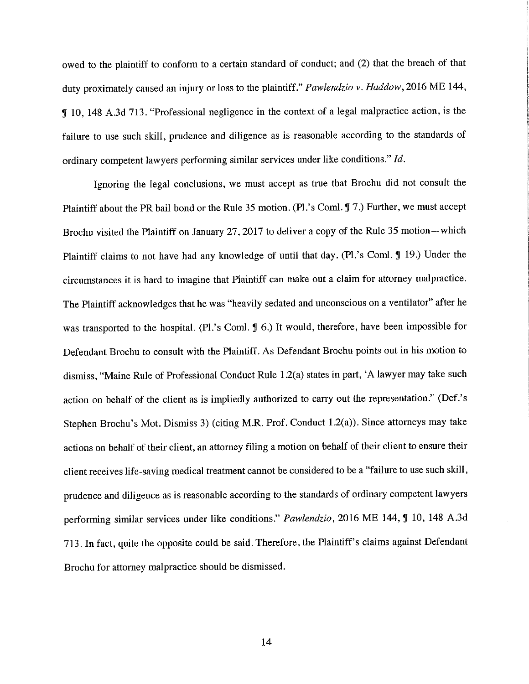owed to the plaintiff to conform to a certain standard of conduct; and (2) that the breach of that duty proximately caused an injury or loss to the plaintiff." *Pawlendzio v. Haddow,* 2016 ME 144, , 10, 148 A.3d 713. "Professional negligence in the context of a legal malpractice action, is the failure to use such skill, prudence and diligence as is reasonable according to the standards of ordinary competent lawyers performing similar services under like conditions." *Id.* 

Ignoring the legal conclusions, we must accept as true that Brochu did not consult the Plaintiff about the PR bail bond or the Rule 35 motion. (Pl.'s Coml. J 7.) Further, we must accept Brochu visited the Plaintiff on January 27, 2017 to deliver a copy of the Rule 35 motion-which Plaintiff claims to not have had any knowledge of until that day. (Pl.'s Coml. 19.) Under the circumstances it is hard to imagine that Plaintiff can make out a claim for attorney malpractice. The Plaintiff acknowledges that he was "heavily sedated and unconscious on a ventilator" after he was transported to the hospital. (Pl.'s Coml.  $\sqrt{9}$  6.) It would, therefore, have been impossible for Defendant Brochu to consult with the Plaintiff. As Defendant Brochu points out in his motion to dismiss, "Maine Rule of Professional Conduct Rule l .2(a) states in part, 'A lawyer may take such action on behalf of the client as is impliedly authorized to carry out the representation." (Def.'s Stephen Brochu's Mot. Dismiss 3) (citing M.R. Prof. Conduct l.2(a)). Since attorneys may take actions on behalf of their client, an attorney filing a motion on behalf of their client to ensure their client receives life-saving medical treatment cannot be considered to be a "failure to use such skill, prudence and diligence as is reasonable according to the standards of ordinary competent lawyers performing similar services under like conditions." *Pawlendzio*, 2016 ME 144, *J* 10, 148 A.3d 713. In fact, quite the opposite could be said. Therefore, the Plaintiff's claims against Defendant Brochu for attorney malpractice should be dismissed.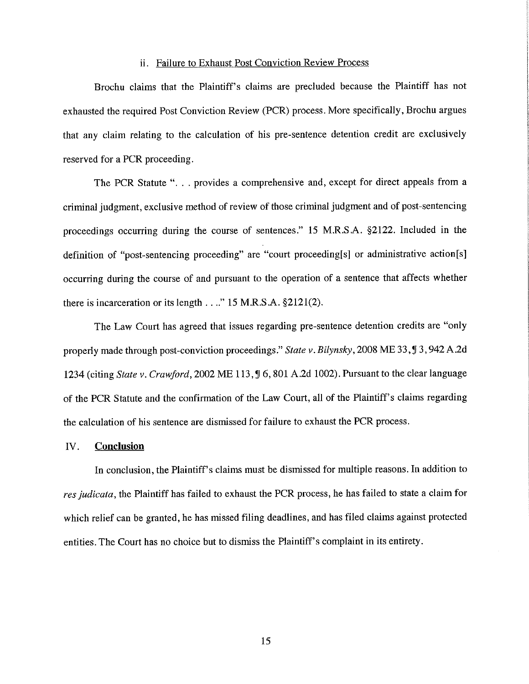## ii. Failure to Exhaust Post Conviction Review Process

Brochu claims that the Plaintiff's claims are precluded because the Plaintiff has not exhausted the required Post Conviction Review (PCR) process. More specifically, Brochu argues that any claim relating to the calculation of his pre-sentence detention credit are exclusively reserved for a PCR proceeding.

The PCR Statute"... provides a comprehensive and, except for direct appeals from a criminal judgment, exclusive method of review of those criminal judgment and of post-sentencing proceedings occurring during the course of sentences." 15 M.R.SA. §2122. Included in the definition of "post-sentencing proceeding" are "court proceeding[s] or administrative action[s] occurring during the course of and pursuant to the operation of a sentence that affects whether there is incarceration or its length  $\dots$ ." 15 M.R.S.A. §2121(2).

The Law Court has agreed that issues regarding pre-sentence detention credits are "only properly made through post-conviction proceedings." *State v. Bilynsky*, 2008 ME 33, J 3, 942 A.2d 1234 (citing *State v. Crawford,* 2002 ME 113, **lJ** 6,801 A.2d 1002). Pursuant to the clear language of the PCR Statute and the confirmation of the Law Court, all of the Plaintiff's claims regarding the calculation of his sentence are dismissed for failure to exhaust the PCR process.

## IV. **Conclusion**

In conclusion, the Plaintiff's claims must be dismissed for multiple reasons. In addition to *res judicata,* the Plaintiff has failed to exhaust the PCR process, he has failed to state a claim for which relief can be granted, he has missed filing deadlines, and has filed claims against protected entities. The Court has no choice but to dismiss the Plaintiff's complaint in its entirety.

15